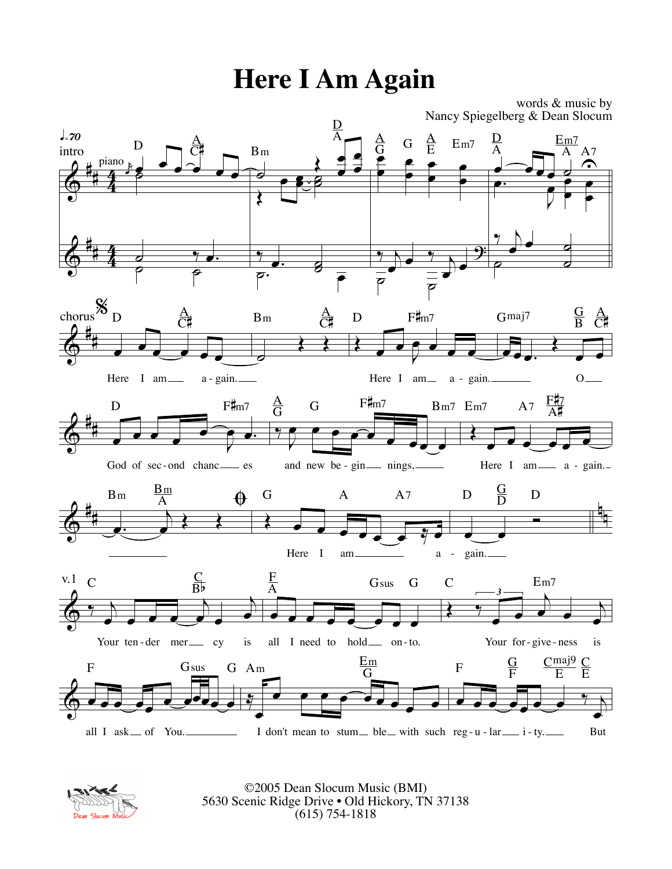## **Here I Am Again**





©2005 Dean Slocum Music (BMI) 5630 Scenic Ridge Drive • Old Hickory, TN 37138 (615) 754-1818